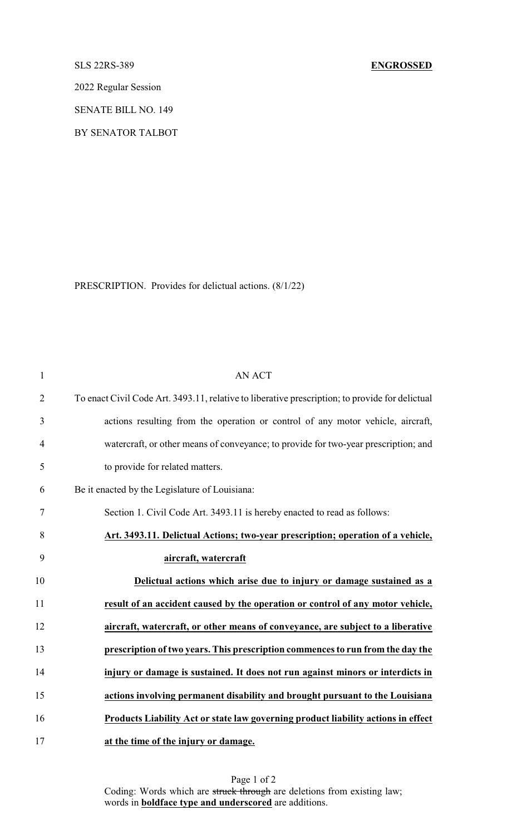## SLS 22RS-389 **ENGROSSED**

2022 Regular Session

SENATE BILL NO. 149

BY SENATOR TALBOT

PRESCRIPTION. Provides for delictual actions. (8/1/22)

| 1              | <b>AN ACT</b>                                                                                   |
|----------------|-------------------------------------------------------------------------------------------------|
| $\overline{2}$ | To enact Civil Code Art. 3493.11, relative to liberative prescription; to provide for delictual |
| 3              | actions resulting from the operation or control of any motor vehicle, aircraft,                 |
| 4              | watercraft, or other means of conveyance; to provide for two-year prescription; and             |
| 5              | to provide for related matters.                                                                 |
| 6              | Be it enacted by the Legislature of Louisiana:                                                  |
| 7              | Section 1. Civil Code Art. 3493.11 is hereby enacted to read as follows:                        |
| 8              | Art. 3493.11. Delictual Actions; two-year prescription; operation of a vehicle,                 |
| 9              | aircraft, watercraft                                                                            |
| 10             | Delictual actions which arise due to injury or damage sustained as a                            |
| 11             | result of an accident caused by the operation or control of any motor vehicle,                  |
| 12             | aircraft, watercraft, or other means of conveyance, are subject to a liberative                 |
| 13             | prescription of two years. This prescription commences to run from the day the                  |
| 14             | injury or damage is sustained. It does not run against minors or interdicts in                  |
| 15             | actions involving permanent disability and brought pursuant to the Louisiana                    |
| 16             | Products Liability Act or state law governing product liability actions in effect               |
| 17             | at the time of the injury or damage.                                                            |

Page 1 of 2 Coding: Words which are struck through are deletions from existing law; words in **boldface type and underscored** are additions.